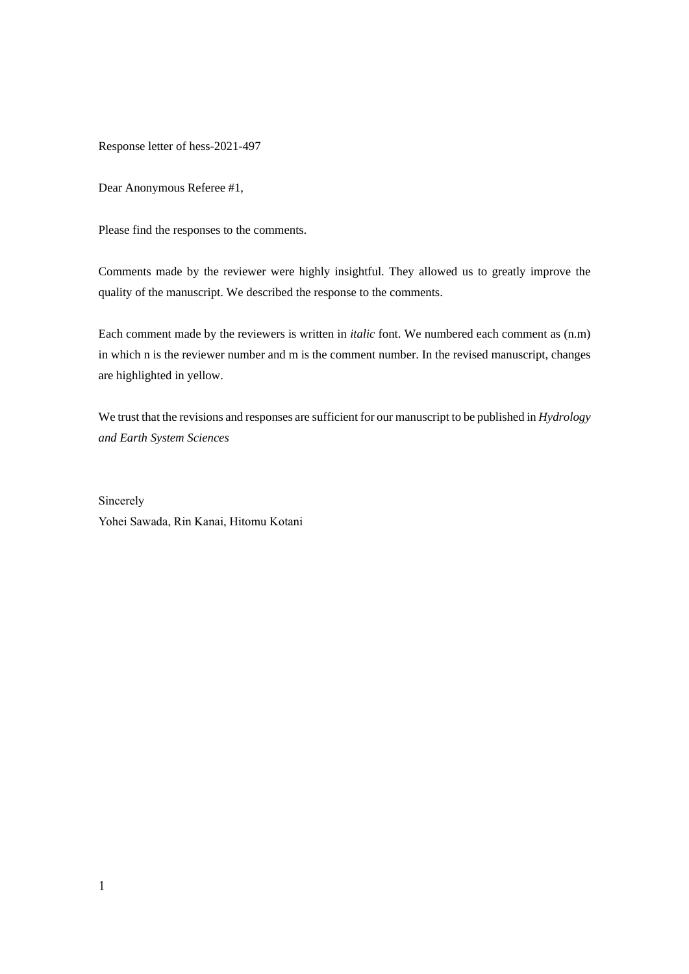Response letter of hess-2021-497

Dear Anonymous Referee #1,

Please find the responses to the comments.

Comments made by the reviewer were highly insightful. They allowed us to greatly improve the quality of the manuscript. We described the response to the comments.

Each comment made by the reviewers is written in *italic* font. We numbered each comment as (n.m) in which n is the reviewer number and m is the comment number. In the revised manuscript, changes are highlighted in yellow.

We trust that the revisions and responses are sufficient for our manuscript to be published in *Hydrology and Earth System Sciences*

Sincerely Yohei Sawada, Rin Kanai, Hitomu Kotani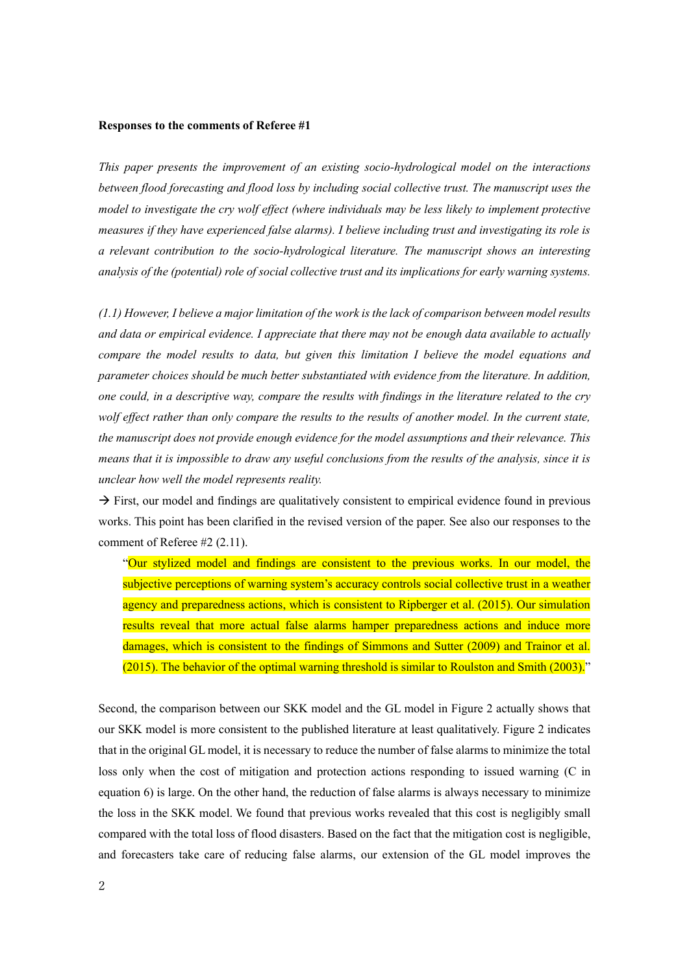## **Responses to the comments of Referee #1**

*This paper presents the improvement of an existing socio-hydrological model on the interactions between flood forecasting and flood loss by including social collective trust. The manuscript uses the model to investigate the cry wolf effect (where individuals may be less likely to implement protective measures if they have experienced false alarms). I believe including trust and investigating its role is a relevant contribution to the socio-hydrological literature. The manuscript shows an interesting analysis of the (potential) role of social collective trust and its implications for early warning systems.*

*(1.1) However, I believe a major limitation of the work is the lack of comparison between model results and data or empirical evidence. I appreciate that there may not be enough data available to actually compare the model results to data, but given this limitation I believe the model equations and parameter choices should be much better substantiated with evidence from the literature. In addition, one could, in a descriptive way, compare the results with findings in the literature related to the cry wolf effect rather than only compare the results to the results of another model. In the current state, the manuscript does not provide enough evidence for the model assumptions and their relevance. This means that it is impossible to draw any useful conclusions from the results of the analysis, since it is unclear how well the model represents reality.*

 $\rightarrow$  First, our model and findings are qualitatively consistent to empirical evidence found in previous works. This point has been clarified in the revised version of the paper. See also our responses to the comment of Referee #2 (2.11).

"Our stylized model and findings are consistent to the previous works. In our model, the subjective perceptions of warning system's accuracy controls social collective trust in a weather agency and preparedness actions, which is consistent to Ripberger et al. (2015). Our simulation results reveal that more actual false alarms hamper preparedness actions and induce more damages, which is consistent to the findings of Simmons and Sutter (2009) and Trainor et al. (2015). The behavior of the optimal warning threshold is similar to Roulston and Smith (2003)."

Second, the comparison between our SKK model and the GL model in Figure 2 actually shows that our SKK model is more consistent to the published literature at least qualitatively. Figure 2 indicates that in the original GL model, it is necessary to reduce the number of false alarms to minimize the total loss only when the cost of mitigation and protection actions responding to issued warning (C in equation 6) is large. On the other hand, the reduction of false alarms is always necessary to minimize the loss in the SKK model. We found that previous works revealed that this cost is negligibly small compared with the total loss of flood disasters. Based on the fact that the mitigation cost is negligible, and forecasters take care of reducing false alarms, our extension of the GL model improves the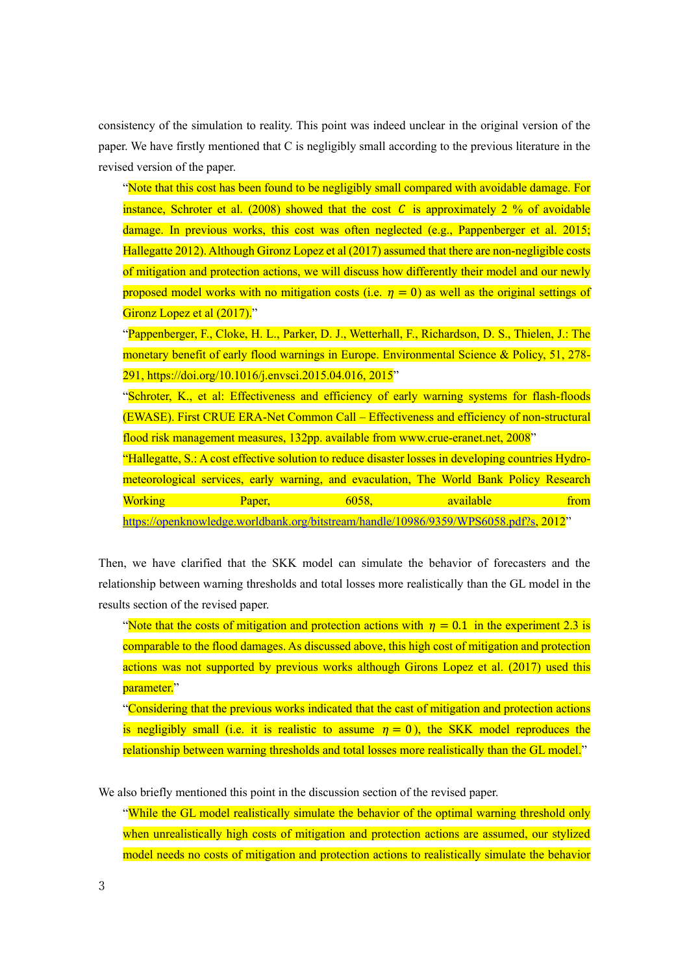consistency of the simulation to reality. This point was indeed unclear in the original version of the paper. We have firstly mentioned that C is negligibly small according to the previous literature in the revised version of the paper.

"Note that this cost has been found to be negligibly small compared with avoidable damage. For instance, Schroter et al. (2008) showed that the cost C is approximately 2 % of avoidable damage. In previous works, this cost was often neglected (e.g., Pappenberger et al. 2015; Hallegatte 2012). Although Gironz Lopez et al (2017) assumed that there are non-negligible costs of mitigation and protection actions, we will discuss how differently their model and our newly proposed model works with no mitigation costs (i.e.  $\eta = 0$ ) as well as the original settings of Gironz Lopez et al (2017)."

"Pappenberger, F., Cloke, H. L., Parker, D. J., Wetterhall, F., Richardson, D. S., Thielen, J.: The monetary benefit of early flood warnings in Europe. Environmental Science & Policy, 51, 278- 291, https://doi.org/10.1016/j.envsci.2015.04.016, 2015"

"Schroter, K., et al: Effectiveness and efficiency of early warning systems for flash-floods (EWASE). First CRUE ERA-Net Common Call – Effectiveness and efficiency of non-structural flood risk management measures, 132pp. available from www.crue-eranet.net, 2008"

"Hallegatte, S.: A cost effective solution to reduce disaster losses in developing countries Hydrometeorological services, early warning, and evaculation, The World Bank Policy Research Working Paper, 6058, available from

[https://openknowledge.worldbank.org/bitstream/handle/10986/9359/WPS6058.pdf?s,](https://openknowledge.worldbank.org/bitstream/handle/10986/9359/WPS6058.pdf?s) 2012"

Then, we have clarified that the SKK model can simulate the behavior of forecasters and the relationship between warning thresholds and total losses more realistically than the GL model in the results section of the revised paper.

"Note that the costs of mitigation and protection actions with  $\eta = 0.1$  in the experiment 2.3 is comparable to the flood damages. As discussed above, this high cost of mitigation and protection actions was not supported by previous works although Girons Lopez et al. (2017) used this parameter."

"Considering that the previous works indicated that the cast of mitigation and protection actions is negligibly small (i.e. it is realistic to assume  $\eta = 0$ ), the SKK model reproduces the relationship between warning thresholds and total losses more realistically than the GL model."

We also briefly mentioned this point in the discussion section of the revised paper.

"While the GL model realistically simulate the behavior of the optimal warning threshold only when unrealistically high costs of mitigation and protection actions are assumed, our stylized model needs no costs of mitigation and protection actions to realistically simulate the behavior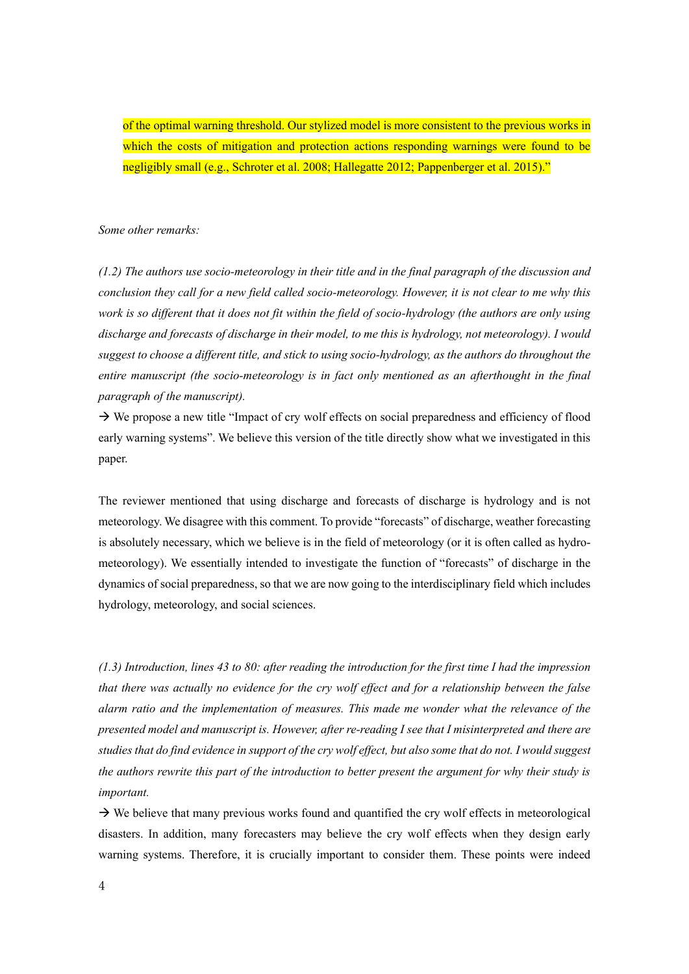of the optimal warning threshold. Our stylized model is more consistent to the previous works in which the costs of mitigation and protection actions responding warnings were found to be negligibly small (e.g., Schroter et al. 2008; Hallegatte 2012; Pappenberger et al. 2015)."

*Some other remarks:*

*(1.2) The authors use socio-meteorology in their title and in the final paragraph of the discussion and conclusion they call for a new field called socio-meteorology. However, it is not clear to me why this work is so different that it does not fit within the field of socio-hydrology (the authors are only using discharge and forecasts of discharge in their model, to me this is hydrology, not meteorology). I would suggest to choose a different title, and stick to using socio-hydrology, as the authors do throughout the entire manuscript (the socio-meteorology is in fact only mentioned as an afterthought in the final paragraph of the manuscript).*

→ We propose a new title "Impact of cry wolf effects on social preparedness and efficiency of flood early warning systems". We believe this version of the title directly show what we investigated in this paper.

The reviewer mentioned that using discharge and forecasts of discharge is hydrology and is not meteorology. We disagree with this comment. To provide "forecasts" of discharge, weather forecasting is absolutely necessary, which we believe is in the field of meteorology (or it is often called as hydrometeorology). We essentially intended to investigate the function of "forecasts" of discharge in the dynamics of social preparedness, so that we are now going to the interdisciplinary field which includes hydrology, meteorology, and social sciences.

*(1.3) Introduction, lines 43 to 80: after reading the introduction for the first time I had the impression that there was actually no evidence for the cry wolf effect and for a relationship between the false alarm ratio and the implementation of measures. This made me wonder what the relevance of the presented model and manuscript is. However, after re-reading I see that I misinterpreted and there are studies that do find evidence in support of the cry wolf effect, but also some that do not. I would suggest the authors rewrite this part of the introduction to better present the argument for why their study is important.*

 $\rightarrow$  We believe that many previous works found and quantified the cry wolf effects in meteorological disasters. In addition, many forecasters may believe the cry wolf effects when they design early warning systems. Therefore, it is crucially important to consider them. These points were indeed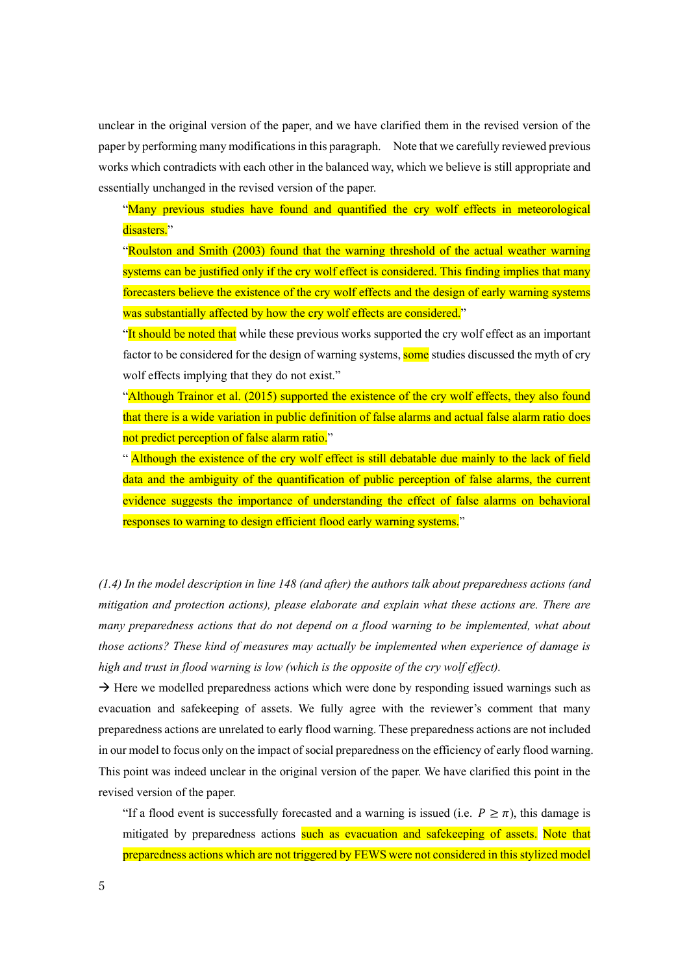unclear in the original version of the paper, and we have clarified them in the revised version of the paper by performing many modifications in this paragraph. Note that we carefully reviewed previous works which contradicts with each other in the balanced way, which we believe is still appropriate and essentially unchanged in the revised version of the paper.

"Many previous studies have found and quantified the cry wolf effects in meteorological disasters."

"Roulston and Smith (2003) found that the warning threshold of the actual weather warning systems can be justified only if the cry wolf effect is considered. This finding implies that many forecasters believe the existence of the cry wolf effects and the design of early warning systems was substantially affected by how the cry wolf effects are considered."

"It should be noted that while these previous works supported the cry wolf effect as an important factor to be considered for the design of warning systems, some studies discussed the myth of cry wolf effects implying that they do not exist."

"Although Trainor et al. (2015) supported the existence of the cry wolf effects, they also found that there is a wide variation in public definition of false alarms and actual false alarm ratio does not predict perception of false alarm ratio."

" Although the existence of the cry wolf effect is still debatable due mainly to the lack of field data and the ambiguity of the quantification of public perception of false alarms, the current evidence suggests the importance of understanding the effect of false alarms on behavioral responses to warning to design efficient flood early warning systems."

*(1.4) In the model description in line 148 (and after) the authors talk about preparedness actions (and mitigation and protection actions), please elaborate and explain what these actions are. There are many preparedness actions that do not depend on a flood warning to be implemented, what about those actions? These kind of measures may actually be implemented when experience of damage is high and trust in flood warning is low (which is the opposite of the cry wolf effect).*

 $\rightarrow$  Here we modelled preparedness actions which were done by responding issued warnings such as evacuation and safekeeping of assets. We fully agree with the reviewer's comment that many preparedness actions are unrelated to early flood warning. These preparedness actions are not included in our model to focus only on the impact of social preparedness on the efficiency of early flood warning. This point was indeed unclear in the original version of the paper. We have clarified this point in the revised version of the paper.

"If a flood event is successfully forecasted and a warning is issued (i.e.  $P \ge \pi$ ), this damage is mitigated by preparedness actions such as evacuation and safekeeping of assets. Note that preparedness actions which are not triggered by FEWS were not considered in this stylized model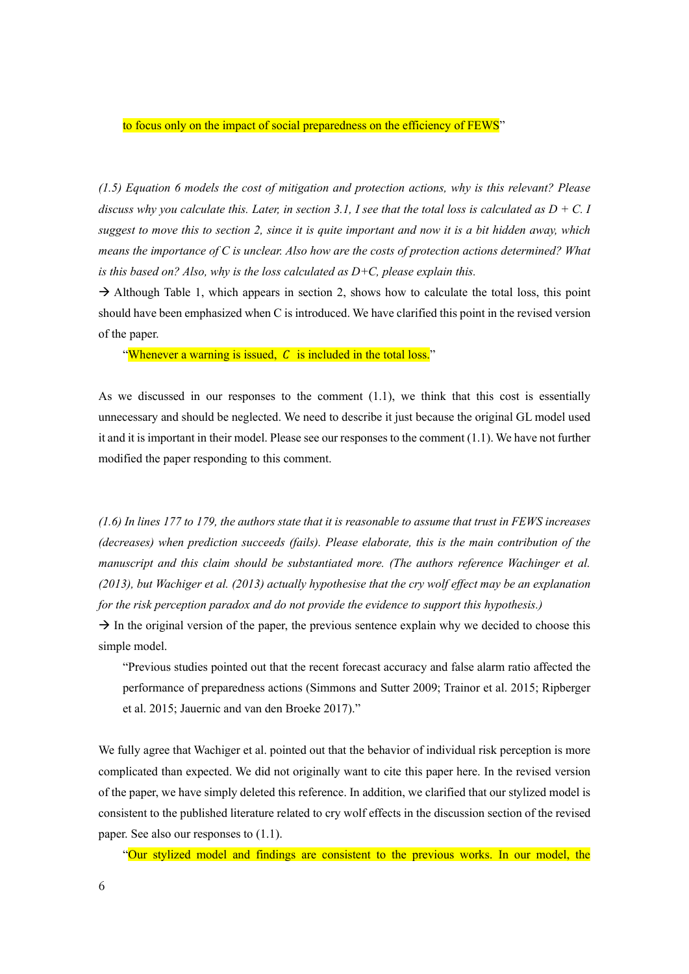to focus only on the impact of social preparedness on the efficiency of FEWS"

*(1.5) Equation 6 models the cost of mitigation and protection actions, why is this relevant? Please discuss why you calculate this. Later, in section 3.1, I see that the total loss is calculated as*  $D + C$ *. I suggest to move this to section 2, since it is quite important and now it is a bit hidden away, which means the importance of C is unclear. Also how are the costs of protection actions determined? What is this based on? Also, why is the loss calculated as D+C, please explain this.*

 $\rightarrow$  Although Table 1, which appears in section 2, shows how to calculate the total loss, this point should have been emphasized when C is introduced. We have clarified this point in the revised version of the paper.

"Whenever a warning is issued,  $C$  is included in the total loss."

As we discussed in our responses to the comment (1.1), we think that this cost is essentially unnecessary and should be neglected. We need to describe it just because the original GL model used it and it is important in their model. Please see our responses to the comment (1.1). We have not further modified the paper responding to this comment.

*(1.6) In lines 177 to 179, the authors state that it is reasonable to assume that trust in FEWS increases (decreases) when prediction succeeds (fails). Please elaborate, this is the main contribution of the manuscript and this claim should be substantiated more. (The authors reference Wachinger et al. (2013), but Wachiger et al. (2013) actually hypothesise that the cry wolf effect may be an explanation for the risk perception paradox and do not provide the evidence to support this hypothesis.)*

 $\rightarrow$  In the original version of the paper, the previous sentence explain why we decided to choose this simple model.

"Previous studies pointed out that the recent forecast accuracy and false alarm ratio affected the performance of preparedness actions (Simmons and Sutter 2009; Trainor et al. 2015; Ripberger et al. 2015; Jauernic and van den Broeke 2017)."

We fully agree that Wachiger et al. pointed out that the behavior of individual risk perception is more complicated than expected. We did not originally want to cite this paper here. In the revised version of the paper, we have simply deleted this reference. In addition, we clarified that our stylized model is consistent to the published literature related to cry wolf effects in the discussion section of the revised paper. See also our responses to (1.1).

"Our stylized model and findings are consistent to the previous works. In our model, the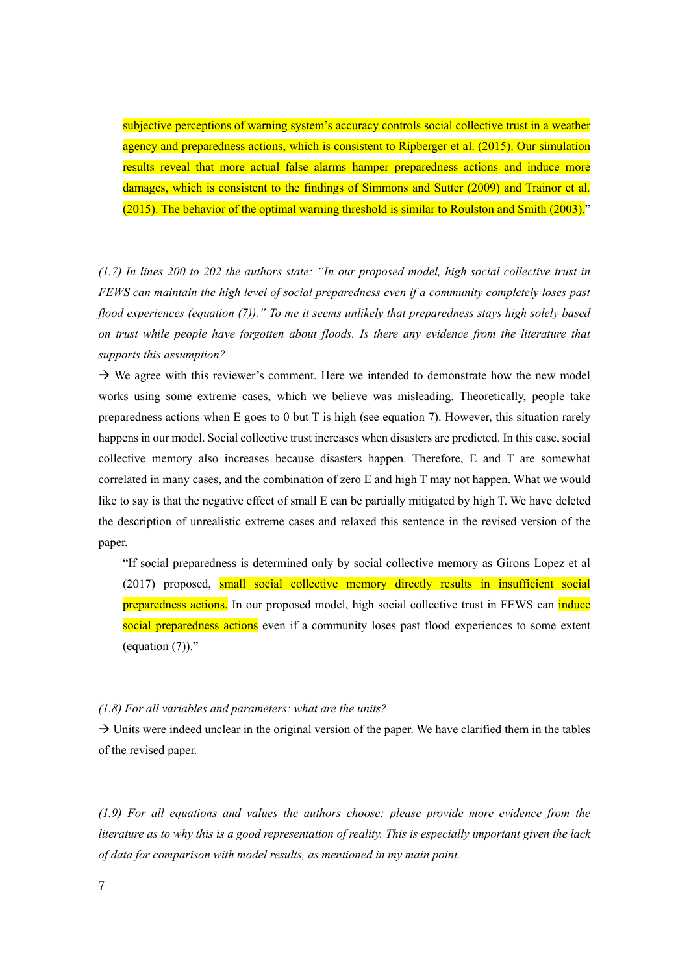subjective perceptions of warning system's accuracy controls social collective trust in a weather agency and preparedness actions, which is consistent to Ripberger et al. (2015). Our simulation results reveal that more actual false alarms hamper preparedness actions and induce more damages, which is consistent to the findings of Simmons and Sutter (2009) and Trainor et al. (2015). The behavior of the optimal warning threshold is similar to Roulston and Smith (2003)."

*(1.7) In lines 200 to 202 the authors state: "In our proposed model, high social collective trust in FEWS can maintain the high level of social preparedness even if a community completely loses past flood experiences (equation (7))." To me it seems unlikely that preparedness stays high solely based on trust while people have forgotten about floods. Is there any evidence from the literature that supports this assumption?*

 $\rightarrow$  We agree with this reviewer's comment. Here we intended to demonstrate how the new model works using some extreme cases, which we believe was misleading. Theoretically, people take preparedness actions when E goes to 0 but T is high (see equation 7). However, this situation rarely happens in our model. Social collective trust increases when disasters are predicted. In this case, social collective memory also increases because disasters happen. Therefore, E and T are somewhat correlated in many cases, and the combination of zero E and high T may not happen. What we would like to say is that the negative effect of small E can be partially mitigated by high T. We have deleted the description of unrealistic extreme cases and relaxed this sentence in the revised version of the paper.

"If social preparedness is determined only by social collective memory as Girons Lopez et al (2017) proposed, small social collective memory directly results in insufficient social preparedness actions. In our proposed model, high social collective trust in FEWS can induce social preparedness actions even if a community loses past flood experiences to some extent (equation  $(7)$ )."

## *(1.8) For all variables and parameters: what are the units?*

 $\rightarrow$  Units were indeed unclear in the original version of the paper. We have clarified them in the tables of the revised paper.

*(1.9) For all equations and values the authors choose: please provide more evidence from the literature as to why this is a good representation of reality. This is especially important given the lack of data for comparison with model results, as mentioned in my main point.*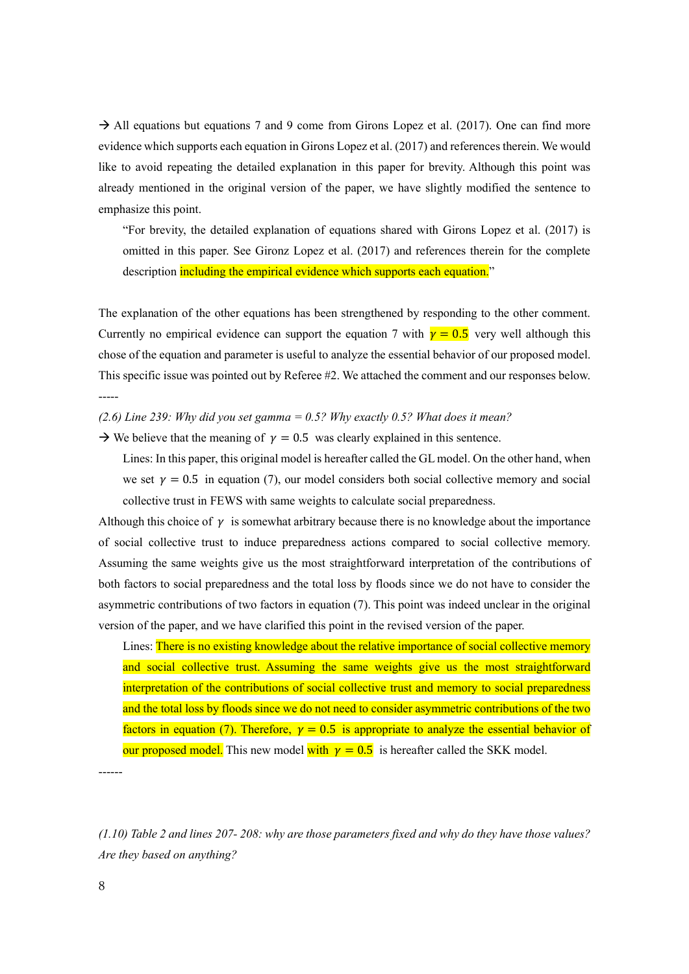$\rightarrow$  All equations but equations 7 and 9 come from Girons Lopez et al. (2017). One can find more evidence which supports each equation in Girons Lopez et al. (2017) and references therein. We would like to avoid repeating the detailed explanation in this paper for brevity. Although this point was already mentioned in the original version of the paper, we have slightly modified the sentence to emphasize this point.

"For brevity, the detailed explanation of equations shared with Girons Lopez et al. (2017) is omitted in this paper. See Gironz Lopez et al. (2017) and references therein for the complete description including the empirical evidence which supports each equation."

The explanation of the other equations has been strengthened by responding to the other comment. Currently no empirical evidence can support the equation 7 with  $\gamma = 0.5$  very well although this chose of the equation and parameter is useful to analyze the essential behavior of our proposed model. This specific issue was pointed out by Referee #2. We attached the comment and our responses below. -----

*(2.6) Line 239: Why did you set gamma = 0.5? Why exactly 0.5? What does it mean?*

 $\rightarrow$  We believe that the meaning of  $\gamma = 0.5$  was clearly explained in this sentence.

Lines: In this paper, this original model is hereafter called the GL model. On the other hand, when we set  $\gamma = 0.5$  in equation (7), our model considers both social collective memory and social collective trust in FEWS with same weights to calculate social preparedness.

Although this choice of  $\gamma$  is somewhat arbitrary because there is no knowledge about the importance of social collective trust to induce preparedness actions compared to social collective memory. Assuming the same weights give us the most straightforward interpretation of the contributions of both factors to social preparedness and the total loss by floods since we do not have to consider the asymmetric contributions of two factors in equation (7). This point was indeed unclear in the original version of the paper, and we have clarified this point in the revised version of the paper.

Lines: There is no existing knowledge about the relative importance of social collective memory and social collective trust. Assuming the same weights give us the most straightforward interpretation of the contributions of social collective trust and memory to social preparedness and the total loss by floods since we do not need to consider asymmetric contributions of the two factors in equation (7). Therefore,  $\gamma = 0.5$  is appropriate to analyze the essential behavior of our proposed model. This new model with  $\gamma = 0.5$  is hereafter called the SKK model.

------

*(1.10) Table 2 and lines 207- 208: why are those parameters fixed and why do they have those values? Are they based on anything?*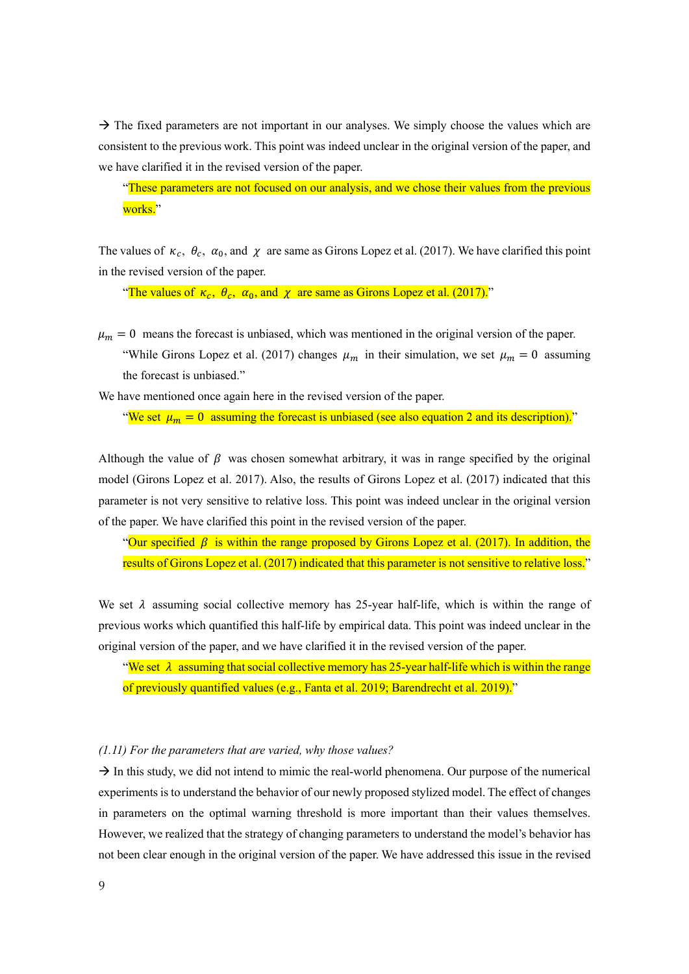$\rightarrow$  The fixed parameters are not important in our analyses. We simply choose the values which are consistent to the previous work. This point was indeed unclear in the original version of the paper, and we have clarified it in the revised version of the paper.

"These parameters are not focused on our analysis, and we chose their values from the previous works."

The values of  $\kappa_c$ ,  $\theta_c$ ,  $\alpha_0$ , and  $\chi$  are same as Girons Lopez et al. (2017). We have clarified this point in the revised version of the paper.

"The values of  $\kappa_c$ ,  $\theta_c$ ,  $\alpha_0$ , and  $\chi$  are same as Girons Lopez et al. (2017)."

 $\mu_m = 0$  means the forecast is unbiased, which was mentioned in the original version of the paper. "While Girons Lopez et al. (2017) changes  $\mu_m$  in their simulation, we set  $\mu_m = 0$  assuming the forecast is unbiased."

We have mentioned once again here in the revised version of the paper.

"We set  $\mu_m = 0$  assuming the forecast is unbiased (see also equation 2 and its description)."

Although the value of  $\beta$  was chosen somewhat arbitrary, it was in range specified by the original model (Girons Lopez et al. 2017). Also, the results of Girons Lopez et al. (2017) indicated that this parameter is not very sensitive to relative loss. This point was indeed unclear in the original version of the paper. We have clarified this point in the revised version of the paper.

"Our specified  $\beta$  is within the range proposed by Girons Lopez et al. (2017). In addition, the results of Girons Lopez et al. (2017) indicated that this parameter is not sensitive to relative loss."

We set  $\lambda$  assuming social collective memory has 25-year half-life, which is within the range of previous works which quantified this half-life by empirical data. This point was indeed unclear in the original version of the paper, and we have clarified it in the revised version of the paper.

"We set  $\lambda$  assuming that social collective memory has 25-year half-life which is within the range of previously quantified values (e.g., Fanta et al. 2019; Barendrecht et al. 2019)."

## *(1.11) For the parameters that are varied, why those values?*

 $\rightarrow$  In this study, we did not intend to mimic the real-world phenomena. Our purpose of the numerical experiments is to understand the behavior of our newly proposed stylized model. The effect of changes in parameters on the optimal warning threshold is more important than their values themselves. However, we realized that the strategy of changing parameters to understand the model's behavior has not been clear enough in the original version of the paper. We have addressed this issue in the revised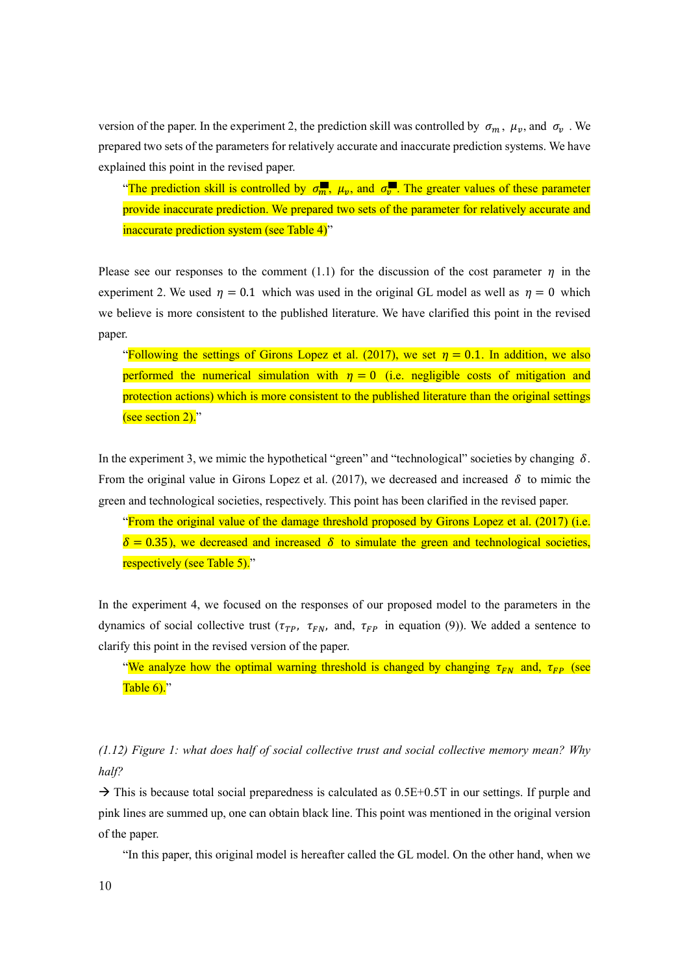version of the paper. In the experiment 2, the prediction skill was controlled by  $\sigma_m$ ,  $\mu_v$ , and  $\sigma_v$ . We prepared two sets of the parameters for relatively accurate and inaccurate prediction systems. We have explained this point in the revised paper.

"The prediction skill is controlled by  $\sigma_m$ ,  $\mu_v$ , and  $\sigma_v$ . The greater values of these parameter provide inaccurate prediction. We prepared two sets of the parameter for relatively accurate and inaccurate prediction system (see Table 4)"

Please see our responses to the comment (1.1) for the discussion of the cost parameter  $\eta$  in the experiment 2. We used  $\eta = 0.1$  which was used in the original GL model as well as  $\eta = 0$  which we believe is more consistent to the published literature. We have clarified this point in the revised paper.

"Following the settings of Girons Lopez et al. (2017), we set  $\eta = 0.1$ . In addition, we also performed the numerical simulation with  $\eta = 0$  (i.e. negligible costs of mitigation and protection actions) which is more consistent to the published literature than the original settings (see section 2)."

In the experiment 3, we mimic the hypothetical "green" and "technological" societies by changing  $\delta$ . From the original value in Girons Lopez et al. (2017), we decreased and increased  $\delta$  to mimic the green and technological societies, respectively. This point has been clarified in the revised paper.

"From the original value of the damage threshold proposed by Girons Lopez et al. (2017) (i.e.  $\delta = 0.35$ ), we decreased and increased  $\delta$  to simulate the green and technological societies, respectively (see Table 5)."

In the experiment 4, we focused on the responses of our proposed model to the parameters in the dynamics of social collective trust ( $\tau_{TP}$ ,  $\tau_{FN}$ , and,  $\tau_{FP}$  in equation (9)). We added a sentence to clarify this point in the revised version of the paper.

"We analyze how the optimal warning threshold is changed by changing  $\tau_{FN}$  and,  $\tau_{FP}$  (see Table  $6$ )."

*(1.12) Figure 1: what does half of social collective trust and social collective memory mean? Why half?*

 $\rightarrow$  This is because total social preparedness is calculated as 0.5E+0.5T in our settings. If purple and pink lines are summed up, one can obtain black line. This point was mentioned in the original version of the paper.

"In this paper, this original model is hereafter called the GL model. On the other hand, when we